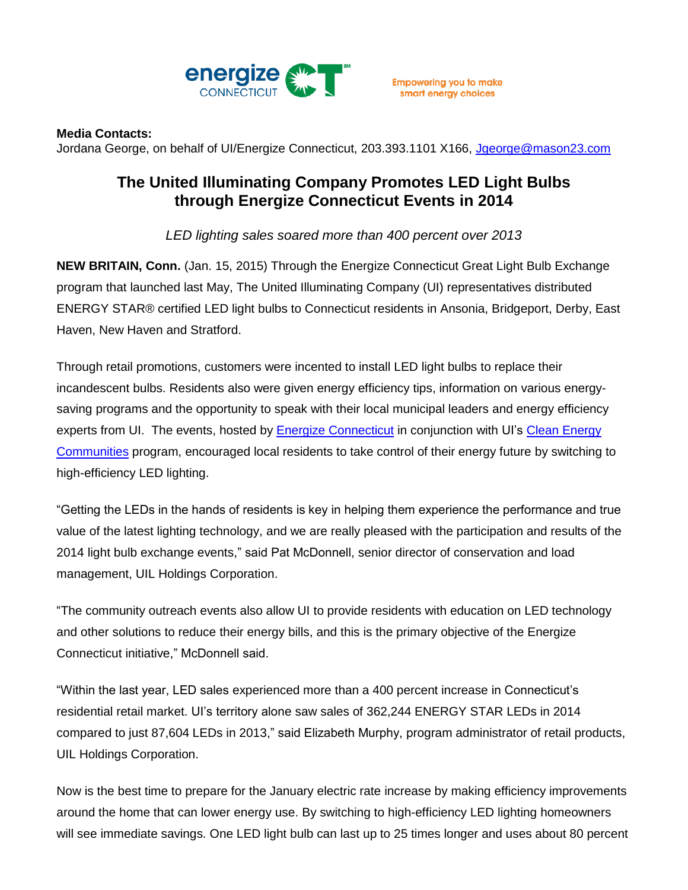

## **Media Contacts:**

Jordana George, on behalf of UI/Energize Connecticut, 203.393.1101 X166, [Jgeorge@mason23.com](mailto:Jgeorge@mason23.com)

## **The United Illuminating Company Promotes LED Light Bulbs through Energize Connecticut Events in 2014**

*LED lighting sales soared more than 400 percent over 2013*

**NEW BRITAIN, Conn.** (Jan. 15, 2015) Through the Energize Connecticut Great Light Bulb Exchange program that launched last May, The United Illuminating Company (UI) representatives distributed ENERGY STAR® certified LED light bulbs to Connecticut residents in Ansonia, Bridgeport, Derby, East Haven, New Haven and Stratford.

Through retail promotions, customers were incented to install LED light bulbs to replace their incandescent bulbs. Residents also were given energy efficiency tips, information on various energysaving programs and the opportunity to speak with their local municipal leaders and energy efficiency experts from UI. The events, hosted by [Energize Connecticut](http://www.energizect.com/) in conjunction with UI's Clean Energy [Communities](http://www.energizect.com/communities/) program, encouraged local residents to take control of their energy future by switching to high-efficiency LED lighting.

"Getting the LEDs in the hands of residents is key in helping them experience the performance and true value of the latest lighting technology, and we are really pleased with the participation and results of the 2014 light bulb exchange events," said Pat McDonnell, senior director of conservation and load management, UIL Holdings Corporation.

"The community outreach events also allow UI to provide residents with education on LED technology and other solutions to reduce their energy bills, and this is the primary objective of the Energize Connecticut initiative," McDonnell said.

"Within the last year, LED sales experienced more than a 400 percent increase in Connecticut's residential retail market. UI's territory alone saw sales of 362,244 ENERGY STAR LEDs in 2014 compared to just 87,604 LEDs in 2013," said Elizabeth Murphy, program administrator of retail products, UIL Holdings Corporation.

Now is the best time to prepare for the January electric rate increase by making efficiency improvements around the home that can lower energy use. By switching to high-efficiency LED lighting homeowners will see immediate savings. One LED light bulb can last up to 25 times longer and uses about 80 percent